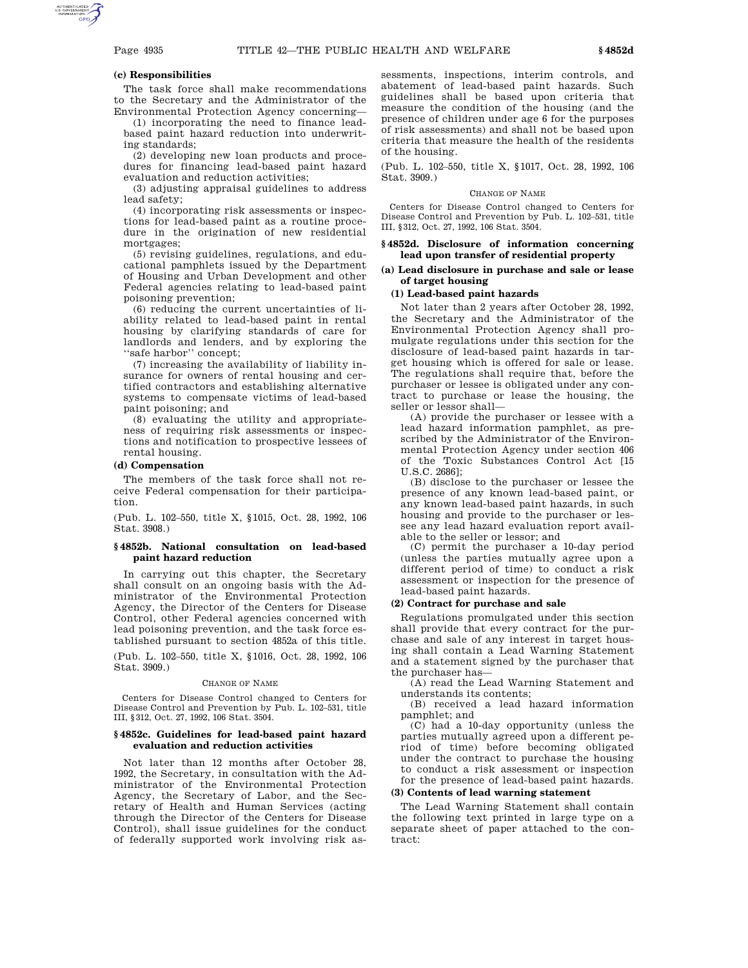### **(c) Responsibilities**

The task force shall make recommendations to the Secretary and the Administrator of the Environmental Protection Agency concerning—

(1) incorporating the need to finance leadbased paint hazard reduction into underwriting standards;

(2) developing new loan products and procedures for financing lead-based paint hazard evaluation and reduction activities;

(3) adjusting appraisal guidelines to address lead safety;

(4) incorporating risk assessments or inspections for lead-based paint as a routine procedure in the origination of new residential mortgages;

(5) revising guidelines, regulations, and educational pamphlets issued by the Department of Housing and Urban Development and other Federal agencies relating to lead-based paint poisoning prevention;

(6) reducing the current uncertainties of liability related to lead-based paint in rental housing by clarifying standards of care for landlords and lenders, and by exploring the ''safe harbor'' concept;

(7) increasing the availability of liability insurance for owners of rental housing and certified contractors and establishing alternative systems to compensate victims of lead-based paint poisoning; and

(8) evaluating the utility and appropriateness of requiring risk assessments or inspections and notification to prospective lessees of rental housing.

### **(d) Compensation**

The members of the task force shall not receive Federal compensation for their participation.

(Pub. L. 102–550, title X, §1015, Oct. 28, 1992, 106 Stat. 3908.)

## **§ 4852b. National consultation on lead-based paint hazard reduction**

In carrying out this chapter, the Secretary shall consult on an ongoing basis with the Administrator of the Environmental Protection Agency, the Director of the Centers for Disease Control, other Federal agencies concerned with lead poisoning prevention, and the task force established pursuant to section 4852a of this title.

(Pub. L. 102–550, title X, §1016, Oct. 28, 1992, 106 Stat. 3909.)

#### CHANGE OF NAME

Centers for Disease Control changed to Centers for Disease Control and Prevention by Pub. L. 102–531, title III, §312, Oct. 27, 1992, 106 Stat. 3504.

### **§ 4852c. Guidelines for lead-based paint hazard evaluation and reduction activities**

Not later than 12 months after October 28, 1992, the Secretary, in consultation with the Administrator of the Environmental Protection Agency, the Secretary of Labor, and the Secretary of Health and Human Services (acting through the Director of the Centers for Disease Control), shall issue guidelines for the conduct of federally supported work involving risk assessments, inspections, interim controls, and abatement of lead-based paint hazards. Such guidelines shall be based upon criteria that measure the condition of the housing (and the presence of children under age 6 for the purposes of risk assessments) and shall not be based upon criteria that measure the health of the residents of the housing.

(Pub. L. 102–550, title X, §1017, Oct. 28, 1992, 106 Stat. 3909.)

### CHANGE OF NAME

Centers for Disease Control changed to Centers for Disease Control and Prevention by Pub. L. 102–531, title III, §312, Oct. 27, 1992, 106 Stat. 3504.

### **§ 4852d. Disclosure of information concerning lead upon transfer of residential property**

### **(a) Lead disclosure in purchase and sale or lease of target housing**

### **(1) Lead-based paint hazards**

Not later than 2 years after October 28, 1992, the Secretary and the Administrator of the Environmental Protection Agency shall promulgate regulations under this section for the disclosure of lead-based paint hazards in target housing which is offered for sale or lease. The regulations shall require that, before the purchaser or lessee is obligated under any contract to purchase or lease the housing, the seller or lessor shall—

(A) provide the purchaser or lessee with a lead hazard information pamphlet, as prescribed by the Administrator of the Environmental Protection Agency under section 406 of the Toxic Substances Control Act [15 U.S.C. 2686];

(B) disclose to the purchaser or lessee the presence of any known lead-based paint, or any known lead-based paint hazards, in such housing and provide to the purchaser or lessee any lead hazard evaluation report available to the seller or lessor; and

(C) permit the purchaser a 10-day period (unless the parties mutually agree upon a different period of time) to conduct a risk assessment or inspection for the presence of lead-based paint hazards.

## **(2) Contract for purchase and sale**

Regulations promulgated under this section shall provide that every contract for the purchase and sale of any interest in target housing shall contain a Lead Warning Statement and a statement signed by the purchaser that the purchaser has—

(A) read the Lead Warning Statement and understands its contents;

(B) received a lead hazard information pamphlet; and

(C) had a 10-day opportunity (unless the parties mutually agreed upon a different period of time) before becoming obligated under the contract to purchase the housing to conduct a risk assessment or inspection for the presence of lead-based paint hazards.

### **(3) Contents of lead warning statement**

The Lead Warning Statement shall contain the following text printed in large type on a separate sheet of paper attached to the contract: